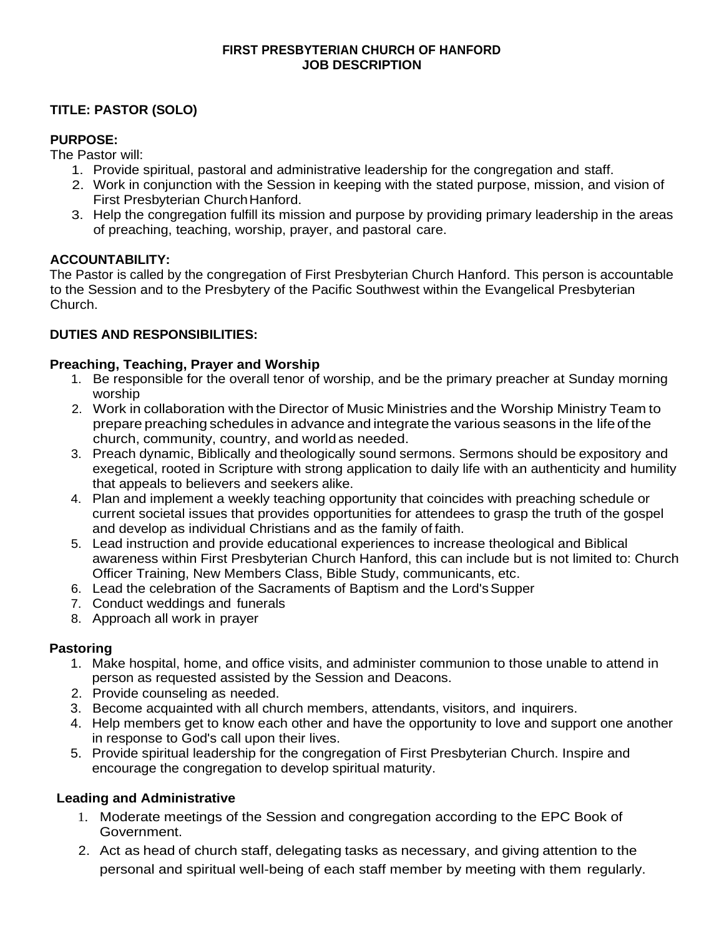#### **FIRST PRESBYTERIAN CHURCH OF HANFORD JOB DESCRIPTION**

# **TITLE: PASTOR (SOLO)**

#### **PURPOSE:**

The Pastor will:

- 1. Provide spiritual, pastoral and administrative leadership for the congregation and staff.
- 2. Work in conjunction with the Session in keeping with the stated purpose, mission, and vision of First Presbyterian ChurchHanford.
- 3. Help the congregation fulfill its mission and purpose by providing primary leadership in the areas of preaching, teaching, worship, prayer, and pastoral care.

#### **ACCOUNTABILITY:**

The Pastor is called by the congregation of First Presbyterian Church Hanford. This person is accountable to the Session and to the Presbytery of the Pacific Southwest within the Evangelical Presbyterian Church.

## **DUTIES AND RESPONSIBILITIES:**

#### **Preaching, Teaching, Prayer and Worship**

- 1. Be responsible for the overall tenor of worship, and be the primary preacher at Sunday morning worship
- 2. Work in collaboration with the Director of Music Ministries and the Worship Ministry Team to prepare preaching schedules in advance and integrate the various seasons in the lifeof the church, community, country, and world as needed.
- 3. Preach dynamic, Biblically and theologically sound sermons. Sermons should be expository and exegetical, rooted in Scripture with strong application to daily life with an authenticity and humility that appeals to believers and seekers alike.
- 4. Plan and implement a weekly teaching opportunity that coincides with preaching schedule or current societal issues that provides opportunities for attendees to grasp the truth of the gospel and develop as individual Christians and as the family of faith.
- 5. Lead instruction and provide educational experiences to increase theological and Biblical awareness within First Presbyterian Church Hanford, this can include but is not limited to: Church Officer Training, New Members Class, Bible Study, communicants, etc.
- 6. Lead the celebration of the Sacraments of Baptism and the Lord'sSupper
- 7. Conduct weddings and funerals
- 8. Approach all work in prayer

## **Pastoring**

- 1. Make hospital, home, and office visits, and administer communion to those unable to attend in person as requested assisted by the Session and Deacons.
- 2. Provide counseling as needed.
- 3. Become acquainted with all church members, attendants, visitors, and inquirers.
- 4. Help members get to know each other and have the opportunity to love and support one another in response to God's call upon their lives.
- 5. Provide spiritual leadership for the congregation of First Presbyterian Church. Inspire and encourage the congregation to develop spiritual maturity.

## **Leading and Administrative**

- 1. Moderate meetings of the Session and congregation according to the EPC Book of Government.
- 2. Act as head of church staff, delegating tasks as necessary, and giving attention to the personal and spiritual well-being of each staff member by meeting with them regularly.